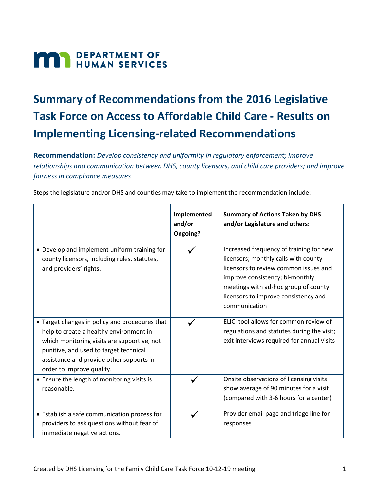# **MAN** DEPARTMENT OF

# **Summary of Recommendations from the 2016 Legislative Task Force on Access to Affordable Child Care - Results on Implementing Licensing-related Recommendations**

**Recommendation:** *Develop consistency and uniformity in regulatory enforcement; improve relationships and communication between DHS, county licensors, and child care providers; and improve fairness in compliance measures*

Steps the legislature and/or DHS and counties may take to implement the recommendation include:

|                                                                                                                                                                                                                                                             | Implemented<br>and/or<br>Ongoing? | <b>Summary of Actions Taken by DHS</b><br>and/or Legislature and others:                                                                                                                                                                                     |
|-------------------------------------------------------------------------------------------------------------------------------------------------------------------------------------------------------------------------------------------------------------|-----------------------------------|--------------------------------------------------------------------------------------------------------------------------------------------------------------------------------------------------------------------------------------------------------------|
| • Develop and implement uniform training for<br>county licensors, including rules, statutes,<br>and providers' rights.                                                                                                                                      |                                   | Increased frequency of training for new<br>licensors; monthly calls with county<br>licensors to review common issues and<br>improve consistency; bi-monthly<br>meetings with ad-hoc group of county<br>licensors to improve consistency and<br>communication |
| • Target changes in policy and procedures that<br>help to create a healthy environment in<br>which monitoring visits are supportive, not<br>punitive, and used to target technical<br>assistance and provide other supports in<br>order to improve quality. |                                   | ELICI tool allows for common review of<br>regulations and statutes during the visit;<br>exit interviews required for annual visits                                                                                                                           |
| • Ensure the length of monitoring visits is<br>reasonable.                                                                                                                                                                                                  | ✓                                 | Onsite observations of licensing visits<br>show average of 90 minutes for a visit<br>(compared with 3-6 hours for a center)                                                                                                                                  |
| • Establish a safe communication process for<br>providers to ask questions without fear of<br>immediate negative actions.                                                                                                                                   |                                   | Provider email page and triage line for<br>responses                                                                                                                                                                                                         |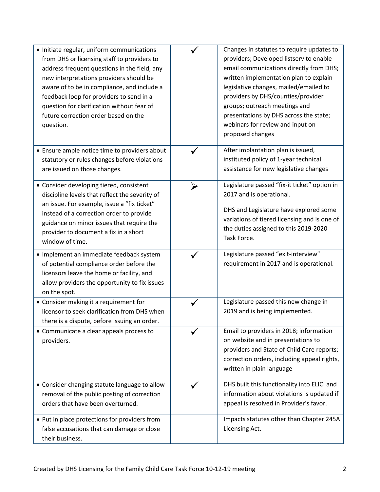| • Initiate regular, uniform communications<br>from DHS or licensing staff to providers to<br>address frequent questions in the field, any<br>new interpretations providers should be<br>aware of to be in compliance, and include a<br>feedback loop for providers to send in a<br>question for clarification without fear of<br>future correction order based on the<br>question. |                       | Changes in statutes to require updates to<br>providers; Developed listserv to enable<br>email communications directly from DHS;<br>written implementation plan to explain<br>legislative changes, mailed/emailed to<br>providers by DHS/counties/provider<br>groups; outreach meetings and<br>presentations by DHS across the state;<br>webinars for review and input on<br>proposed changes |
|------------------------------------------------------------------------------------------------------------------------------------------------------------------------------------------------------------------------------------------------------------------------------------------------------------------------------------------------------------------------------------|-----------------------|----------------------------------------------------------------------------------------------------------------------------------------------------------------------------------------------------------------------------------------------------------------------------------------------------------------------------------------------------------------------------------------------|
| • Ensure ample notice time to providers about<br>statutory or rules changes before violations<br>are issued on those changes.                                                                                                                                                                                                                                                      |                       | After implantation plan is issued,<br>instituted policy of 1-year technical<br>assistance for new legislative changes                                                                                                                                                                                                                                                                        |
| • Consider developing tiered, consistent<br>discipline levels that reflect the severity of<br>an issue. For example, issue a "fix ticket"<br>instead of a correction order to provide<br>guidance on minor issues that require the<br>provider to document a fix in a short<br>window of time.                                                                                     | $\blacktriangleright$ | Legislature passed "fix-it ticket" option in<br>2017 and is operational.<br>DHS and Legislature have explored some<br>variations of tiered licensing and is one of<br>the duties assigned to this 2019-2020<br>Task Force.                                                                                                                                                                   |
| · Implement an immediate feedback system<br>of potential compliance order before the<br>licensors leave the home or facility, and<br>allow providers the opportunity to fix issues<br>on the spot.                                                                                                                                                                                 |                       | Legislature passed "exit-interview"<br>requirement in 2017 and is operational.                                                                                                                                                                                                                                                                                                               |
| • Consider making it a requirement for<br>licensor to seek clarification from DHS when<br>there is a dispute, before issuing an order.                                                                                                                                                                                                                                             |                       | Legislature passed this new change in<br>2019 and is being implemented.                                                                                                                                                                                                                                                                                                                      |
| • Communicate a clear appeals process to<br>providers.                                                                                                                                                                                                                                                                                                                             |                       | Email to providers in 2018; information<br>on website and in presentations to<br>providers and State of Child Care reports;<br>correction orders, including appeal rights,<br>written in plain language                                                                                                                                                                                      |
| • Consider changing statute language to allow<br>removal of the public posting of correction<br>orders that have been overturned.<br>• Put in place protections for providers from                                                                                                                                                                                                 |                       | DHS built this functionality into ELICI and<br>information about violations is updated if<br>appeal is resolved in Provider's favor.<br>Impacts statutes other than Chapter 245A                                                                                                                                                                                                             |
| false accusations that can damage or close<br>their business.                                                                                                                                                                                                                                                                                                                      |                       | Licensing Act.                                                                                                                                                                                                                                                                                                                                                                               |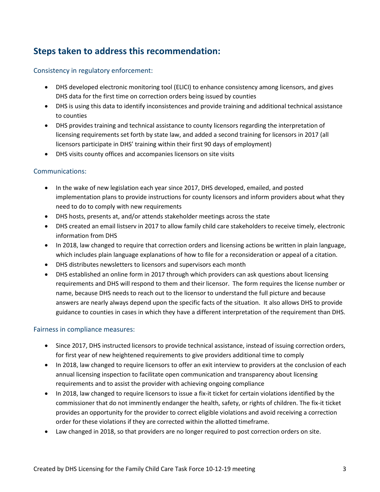# **Steps taken to address this recommendation:**

#### Consistency in regulatory enforcement:

- DHS developed electronic monitoring tool (ELICI) to enhance consistency among licensors, and gives DHS data for the first time on correction orders being issued by counties
- DHS is using this data to identify inconsistences and provide training and additional technical assistance to counties
- DHS provides training and technical assistance to county licensors regarding the interpretation of licensing requirements set forth by state law, and added a second training for licensors in 2017 (all licensors participate in DHS' training within their first 90 days of employment)
- DHS visits county offices and accompanies licensors on site visits

#### Communications:

- In the wake of new legislation each year since 2017, DHS developed, emailed, and posted implementation plans to provide instructions for county licensors and inform providers about what they need to do to comply with new requirements
- DHS hosts, presents at, and/or attends stakeholder meetings across the state
- DHS created an email listserv in 2017 to allow family child care stakeholders to receive timely, electronic information from DHS
- In 2018, law changed to require that correction orders and licensing actions be written in plain language, which includes plain language explanations of how to file for a reconsideration or appeal of a citation.
- DHS distributes newsletters to licensors and supervisors each month
- DHS established an online form in 2017 through which providers can ask questions about licensing requirements and DHS will respond to them and their licensor. The form requires the license number or name, because DHS needs to reach out to the licensor to understand the full picture and because answers are nearly always depend upon the specific facts of the situation. It also allows DHS to provide guidance to counties in cases in which they have a different interpretation of the requirement than DHS.

#### Fairness in compliance measures:

- Since 2017, DHS instructed licensors to provide technical assistance, instead of issuing correction orders, for first year of new heightened requirements to give providers additional time to comply
- In 2018, law changed to require licensors to offer an exit interview to providers at the conclusion of each annual licensing inspection to facilitate open communication and transparency about licensing requirements and to assist the provider with achieving ongoing compliance
- In 2018, law changed to require licensors to issue a fix-it ticket for certain violations identified by the commissioner that do not imminently endanger the health, safety, or rights of children. The fix-it ticket provides an opportunity for the provider to correct eligible violations and avoid receiving a correction order for these violations if they are corrected within the allotted timeframe.
- Law changed in 2018, so that providers are no longer required to post correction orders on site.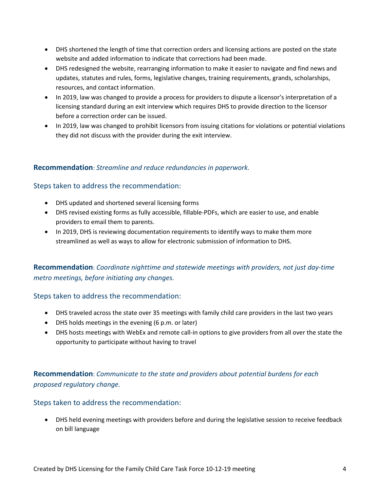- DHS shortened the length of time that correction orders and licensing actions are posted on the state website and added information to indicate that corrections had been made.
- DHS redesigned the website, rearranging information to make it easier to navigate and find news and updates, statutes and rules, forms, legislative changes, training requirements, grands, scholarships, resources, and contact information.
- In 2019, law was changed to provide a process for providers to dispute a licensor's interpretation of a licensing standard during an exit interview which requires DHS to provide direction to the licensor before a correction order can be issued.
- In 2019, law was changed to prohibit licensors from issuing citations for violations or potential violations they did not discuss with the provider during the exit interview.

#### **Recommendation**: *Streamline and reduce redundancies in paperwork.*

#### Steps taken to address the recommendation:

- DHS updated and shortened several licensing forms
- DHS revised existing forms as fully accessible, fillable-PDFs, which are easier to use, and enable providers to email them to parents.
- In 2019, DHS is reviewing documentation requirements to identify ways to make them more streamlined as well as ways to allow for electronic submission of information to DHS.

### **Recommendation**: *Coordinate nighttime and statewide meetings with providers, not just day-time metro meetings, before initiating any changes.*

#### Steps taken to address the recommendation:

- DHS traveled across the state over 35 meetings with family child care providers in the last two years
- DHS holds meetings in the evening (6 p.m. or later)
- DHS hosts meetings with WebEx and remote call-in options to give providers from all over the state the opportunity to participate without having to travel

## **Recommendation**: *Communicate to the state and providers about potential burdens for each proposed regulatory change.*

#### Steps taken to address the recommendation:

• DHS held evening meetings with providers before and during the legislative session to receive feedback on bill language